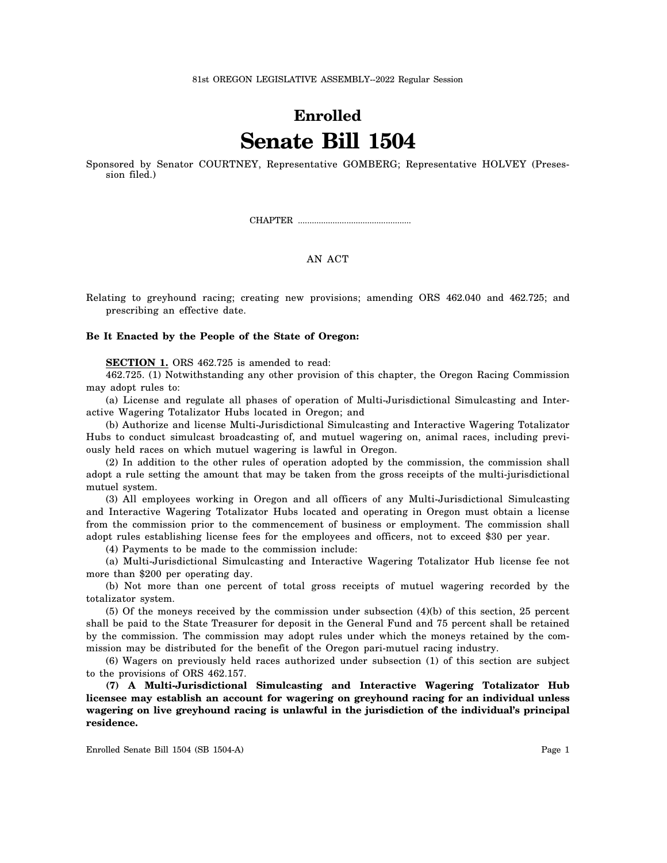## **Enrolled Senate Bill 1504**

Sponsored by Senator COURTNEY, Representative GOMBERG; Representative HOLVEY (Presession filed.)

CHAPTER .................................................

## AN ACT

Relating to greyhound racing; creating new provisions; amending ORS 462.040 and 462.725; and prescribing an effective date.

## **Be It Enacted by the People of the State of Oregon:**

**SECTION 1.** ORS 462.725 is amended to read:

462.725. (1) Notwithstanding any other provision of this chapter, the Oregon Racing Commission may adopt rules to:

(a) License and regulate all phases of operation of Multi-Jurisdictional Simulcasting and Interactive Wagering Totalizator Hubs located in Oregon; and

(b) Authorize and license Multi-Jurisdictional Simulcasting and Interactive Wagering Totalizator Hubs to conduct simulcast broadcasting of, and mutuel wagering on, animal races, including previously held races on which mutuel wagering is lawful in Oregon.

(2) In addition to the other rules of operation adopted by the commission, the commission shall adopt a rule setting the amount that may be taken from the gross receipts of the multi-jurisdictional mutuel system.

(3) All employees working in Oregon and all officers of any Multi-Jurisdictional Simulcasting and Interactive Wagering Totalizator Hubs located and operating in Oregon must obtain a license from the commission prior to the commencement of business or employment. The commission shall adopt rules establishing license fees for the employees and officers, not to exceed \$30 per year.

(4) Payments to be made to the commission include:

(a) Multi-Jurisdictional Simulcasting and Interactive Wagering Totalizator Hub license fee not more than \$200 per operating day.

(b) Not more than one percent of total gross receipts of mutuel wagering recorded by the totalizator system.

(5) Of the moneys received by the commission under subsection (4)(b) of this section, 25 percent shall be paid to the State Treasurer for deposit in the General Fund and 75 percent shall be retained by the commission. The commission may adopt rules under which the moneys retained by the commission may be distributed for the benefit of the Oregon pari-mutuel racing industry.

(6) Wagers on previously held races authorized under subsection (1) of this section are subject to the provisions of ORS 462.157.

**(7) A Multi-Jurisdictional Simulcasting and Interactive Wagering Totalizator Hub licensee may establish an account for wagering on greyhound racing for an individual unless wagering on live greyhound racing is unlawful in the jurisdiction of the individual's principal residence.**